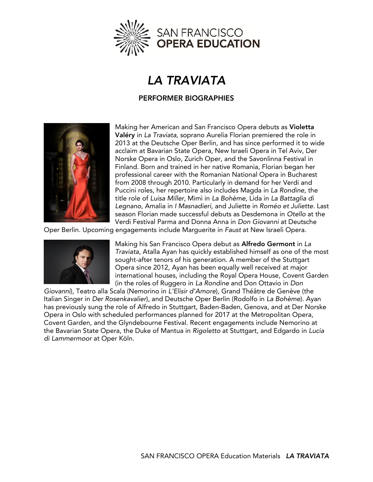

## **LA TRAVIATA**

## **PERFORMER BIOGRAPHIES PERFORMER BIOGRAPHIES**



Making her American and San Francisco Opera debuts as **Violetta**  2013 at the Deutsche Oper Berlin, and has since performed it to wide acclaim at Bavarian State Opera, New Israeli Opera in Tel Aviv, Der Norske Opera in Oslo, Zurich Oper, and the Savonlinna Festival in Finland. Born and trained in her native Romania, Florian began her professional career with the Romanian National Opera in Bucharest from 2008 through 2010. Particularly in demand for her Verdi and Puccini roles, her repertoire also includes Magda in La Rondine, the title role of Luisa Miller, Mimì in La Bohème, Lida in La Battaglia di Legnano, Amalia in *I Masnadieri*, and Juliette in Roméo et Juliette. Last *Legnano*, Amalia in *I Masnadieri*, and Juliette in *Roméo et Juliette*. Last Verdi Festival Parma and Donna Anna in *Don Giovanni* at Deutsche

Verdi Festival Parma and Donna Anna in *Don Giovanni* at Deutsche Oper Berlin. Upcoming engagements include Marguerite in *Faust* at New Israeli Opera.



Making his San Francisco Opera debut as **Alfredo Germont** in *La*  sought-after tenors of his generation. A member of the Stuttgart Opera since 2012, Ayan has been equally well received at major international houses, including the Royal Opera House, Covent Garden (in the roles of Ruggero in La Rondine and Don Ottavio in Don

Giovanni), Teatro alla Scala (Nemorino in *L'Elisir d'Amore*), Grand Théâtre de Genève (the Italian Singer in *Der Rosenkavalier*), and Deutsche Oper Berlin (Rodolfo in La Bohème). Ayan has previously sung the role of Alfredo in Stuttgart, Baden-Baden, Genova, and at Der Norske Opera in Oslo with scheduled performances planned for 2017 at the Metropolitan Opera, Covent Garden, and the Glyndebourne Festival. Recent engagements include Nemorino at the Bavarian State Opera, the Duke of Mantua in Rigoletto at Stuttgart, and Edgardo in Lucia  $di$  Lammermoor at Oper Köln. *di Lammermoor* at Oper Köln.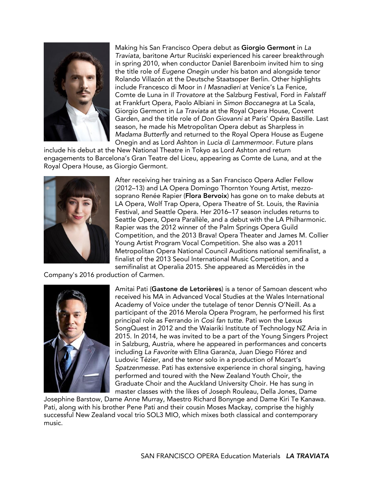

Traviata, baritone Artur Ruciński experienced his career breakthrough<br>in spring 2010, when conductor Daniel Barenboim invited him to sing in spring 2010, when conductor Daniel Barenboim invited him to sing<br>the title role of Eugene Onegin under his baton and alongside tenor Rolando Villazón at the Deutsche Staatsoper Berlin. Other highlights include Francesco di Moor in I Masnadieri at Venice's La Fenice, Comte de Luna in *Il Trovatore* at the Salzburg Festival, Ford in Falstaff at Frankfurt Opera, Paolo Albiani in Simon Boccanegra at La Scala, Giorgio Germont in *La Traviata* at the Royal Opera House, Covent Garden, and the title role of *Don Giovanni* at Paris' Opéra Bastille. Last season, he made his Metropolitan Opera debut as Sharpless in Madama Butterfly and returned to the Royal Opera House as Eugene Onegin and as Lord Ashton in Lucia di Lammermoor. Future plans

include his debut at the New National Theatre in Tokyo as Lord Ashton and return engagements to Barcelona's Gran Teatre del Liceu, appearing as Comte de Luna, and at the engagements to Barcelona's to Barcelona's del License and at the Luna, and at the Luna, and at the Luna, and a Royal Opera House, as Giorgio Germont.



After receiving her training as a San Francisco Opera Adler Fellow<br>(2012–13) and LA Opera Domingo Thornton Young Artist, mezzosoprano Renée Rapier (Flora Bervoix) has gone on to make debuts at LA Opera, Wolf Trap Opera, Opera Theatre of St. Louis, the Ravinia Festival, and Seattle Opera. Her 2016-17 season includes returns to Seattle Opera, Opera Parallèle, and a debut with the LA Philharmonic. Rapier was the 2012 winner of the Palm Springs Opera Guild Competition, and the 2013 Brava! Opera Theater and James M. Collier Young Artist Program Vocal Competition. She also was a 2011 Metropolitan Opera National Council Auditions national semifinalist, a finalist of the 2013 Seoul International Music Competition, and a semifinalist at Operalia 2015. She appeared as Mercédès in the

Company's 2016 production of Carmen.



Amitai Pati (**Gastone de Letorières**) is a tenor of Samoan descent who Academy of Voice under the tutelage of tenor Dennis O'Neill. As a participant of the 2016 Merola Opera Program, he performed his first principal role as Ferrando in Così fan tutte. Pati won the Lexus SongQuest in 2012 and the Waiariki Institute of Technology NZ Aria in 2015. In 2014, he was invited to be a part of the Young Singers Project in Salzburg, Austria, where he appeared in performances and concerts in Salzburg, Austria, Austria, where he appeared in performances and senses to<br>including *La Favorite* with Elīna Garanča, Juan Diego Flórez and<br>Ludovic Tézier, and the tenor solo in a production of Mozart's Ludovic Tézier, and the tenor solo in a production of Mozart's<br>Spatzenmesse. Pati has extensive experience in choral singing, having performed and toured with the New Zealand Youth Choir, the Graduate Choir and the Auckland University Choir. He has sung in master classes with the likes of Joseph Rouleau, Della Jones, Dame

Josephine Barstow, Dame Anne Murray, Maestro Richard Bonynge and Dame Kiri Te Kanawa. Pati, along with his brother Pene Pati and their cousin Moses Mackay, comprise the highly Patition County is brother Patition of the Machinese Mathematical Contemporary, contemporary, contemporary successful New Zealand vocal trio SOL3 MIO, which mixes both classical and contemporary music.